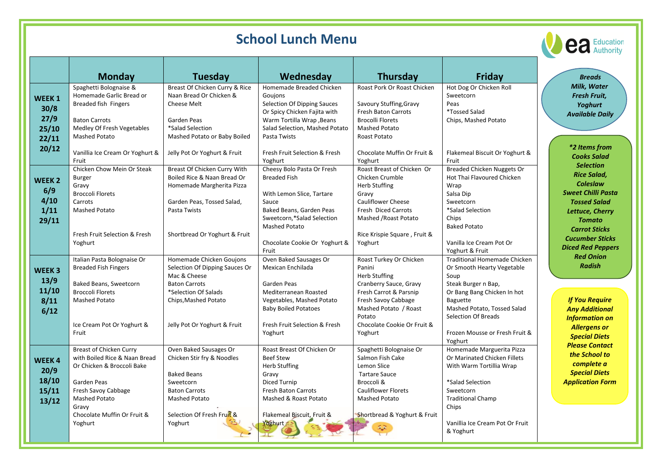| <b>School Lunch Menu</b>                                                                                     |                                                                                                                                                                                                                  |                                                                                                                                                                                    |                                                                                                                                                                                                              |                                                                                                                                                                                                        |                                                                                                                                                                                                                                                          | <b>eaucation</b>                                                                                                                                                                                                                                                                            |
|--------------------------------------------------------------------------------------------------------------|------------------------------------------------------------------------------------------------------------------------------------------------------------------------------------------------------------------|------------------------------------------------------------------------------------------------------------------------------------------------------------------------------------|--------------------------------------------------------------------------------------------------------------------------------------------------------------------------------------------------------------|--------------------------------------------------------------------------------------------------------------------------------------------------------------------------------------------------------|----------------------------------------------------------------------------------------------------------------------------------------------------------------------------------------------------------------------------------------------------------|---------------------------------------------------------------------------------------------------------------------------------------------------------------------------------------------------------------------------------------------------------------------------------------------|
|                                                                                                              |                                                                                                                                                                                                                  |                                                                                                                                                                                    |                                                                                                                                                                                                              |                                                                                                                                                                                                        |                                                                                                                                                                                                                                                          |                                                                                                                                                                                                                                                                                             |
|                                                                                                              | <b>Monday</b>                                                                                                                                                                                                    | <b>Tuesday</b>                                                                                                                                                                     | Wednesday                                                                                                                                                                                                    | <b>Thursday</b>                                                                                                                                                                                        | Friday                                                                                                                                                                                                                                                   | <b>Breads</b>                                                                                                                                                                                                                                                                               |
| WEEK <sub>1</sub><br>30/8<br>27/9<br>25/10<br>22/11<br>20/12<br><b>WEEK2</b><br>6/9<br>4/10<br>1/11<br>29/11 | Spaghetti Bolognaise &<br>Homemade Garlic Bread or<br><b>Breaded fish Fingers</b><br><b>Baton Carrots</b><br>Medley Of Fresh Vegetables                                                                          | Breast Of Chicken Curry & Rice<br>Naan Bread Or Chicken &<br>Cheese Melt<br>Garden Peas<br>*Salad Selection                                                                        | Homemade Breaded Chicken<br>Goujons<br>Selection Of Dipping Sauces<br>Or Spicy Chicken Fajita with<br><b>Warm Tortilla Wrap, Beans</b><br>Salad Selection, Mashed Potato                                     | Roast Pork Or Roast Chicken<br>Savoury Stuffing, Gravy<br>Fresh Baton Carrots<br><b>Brocolli Florets</b><br><b>Mashed Potato</b>                                                                       | Hot Dog Or Chicken Roll<br>Sweetcorn<br>Peas<br><i><b>*Tossed Salad</b></i><br>Chips, Mashed Potato                                                                                                                                                      | Milk, Water<br>Fresh Fruit,<br><b>Yoghurt</b><br><b>Available Daily</b><br>*2 Items from<br><b>Cooks Salad</b><br><b>Selection</b><br><b>Rice Salad,</b><br><b>Coleslaw</b><br><b>Sweet Chilli Pasta</b><br><b>Tossed Salad</b><br>Lettuce, Cherry<br><b>Tomato</b><br><b>Carrot Sticks</b> |
|                                                                                                              | <b>Mashed Potato</b><br>Vanillia Ice Cream Or Yoghurt &<br>Fruit                                                                                                                                                 | Mashed Potato or Baby Boiled<br>Jelly Pot Or Yoghurt & Fruit                                                                                                                       | Pasta Twists<br>Fresh Fruit Selection & Fresh<br>Yoghurt                                                                                                                                                     | Roast Potato<br>Chocolate Muffin Or Fruit &<br>Yoghurt                                                                                                                                                 | Flakemeal Biscuit Or Yoghurt &<br>Fruit                                                                                                                                                                                                                  |                                                                                                                                                                                                                                                                                             |
|                                                                                                              | Chicken Chow Mein Or Steak<br><b>Burger</b><br>Gravy<br><b>Broccoli Florets</b><br>Carrots<br><b>Mashed Potato</b>                                                                                               | Breast Of Chicken Curry With<br>Boiled Rice & Naan Bread Or<br>Homemade Margherita Pizza<br>Garden Peas, Tossed Salad,<br>Pasta Twists                                             | Cheesy Bolo Pasta Or Fresh<br><b>Breaded Fish</b><br>With Lemon Slice, Tartare<br>Sauce<br>Baked Beans, Garden Peas<br>Sweetcorn,*Salad Selection<br>Mashed Potato                                           | Roast Breast of Chicken Or<br>Chicken Crumble<br>Herb Stuffing<br>Gravy<br><b>Cauliflower Cheese</b><br><b>Fresh Diced Carrots</b><br>Mashed / Roast Potato                                            | <b>Breaded Chicken Nuggets Or</b><br>Hot Thai Flavoured Chicken<br>Wrap<br>Salsa Dip<br>Sweetcorn<br>*Salad Selection<br>Chips<br><b>Baked Potato</b>                                                                                                    |                                                                                                                                                                                                                                                                                             |
|                                                                                                              | Fresh Fruit Selection & Fresh<br>Yoghurt                                                                                                                                                                         | Shortbread Or Yoghurt & Fruit                                                                                                                                                      | Chocolate Cookie Or Yoghurt &<br>Fruit                                                                                                                                                                       | Rice Krispie Square, Fruit &<br>Yoghurt                                                                                                                                                                | Vanilla Ice Cream Pot Or<br>Yoghurt & Fruit                                                                                                                                                                                                              | <b>Cucumber Sticks</b><br><b>Diced Red Peppers</b><br><b>Red Onion</b>                                                                                                                                                                                                                      |
| WEEK <sub>3</sub><br>13/9<br>11/10<br>8/11<br>6/12                                                           | Italian Pasta Bolognaise Or<br><b>Breaded Fish Fingers</b><br>Baked Beans, Sweetcorn<br><b>Broccoli Florets</b><br><b>Mashed Potato</b><br>Ice Cream Pot Or Yoghurt &                                            | Homemade Chicken Goujons<br>Selection Of Dipping Sauces Or<br>Mac & Cheese<br><b>Baton Carrots</b><br>*Selection Of Salads<br>Chips, Mashed Potato<br>Jelly Pot Or Yoghurt & Fruit | Oven Baked Sausages Or<br>Mexican Enchilada<br>Garden Peas<br>Mediterranean Roasted<br>Vegetables, Mashed Potato<br><b>Baby Boiled Potatoes</b><br>Fresh Fruit Selection & Fresh                             | Roast Turkey Or Chicken<br>Panini<br><b>Herb Stuffing</b><br>Cranberry Sauce, Gravy<br>Fresh Carrot & Parsnip<br>Fresh Savoy Cabbage<br>Mashed Potato / Roast<br>Potato<br>Chocolate Cookie Or Fruit & | Traditional Homemade Chicken<br>Or Smooth Hearty Vegetable<br>Soup<br>Steak Burger n Bap,<br>Or Bang Bang Chicken In hot<br>Baguette<br>Mashed Potato, Tossed Salad<br><b>Selection Of Breads</b>                                                        | <b>Radish</b><br><b>If You Require</b><br><b>Any Additional</b><br><b>Information on</b><br><b>Allergens or</b>                                                                                                                                                                             |
| <b>WEEK4</b><br>20/9<br>18/10<br>15/11<br>13/12                                                              | Fruit<br><b>Breast of Chicken Curry</b><br>with Boiled Rice & Naan Bread<br>Or Chicken & Broccoli Bake<br>Garden Peas<br>Fresh Savoy Cabbage<br>Mashed Potato<br>Gravy<br>Chocolate Muffin Or Fruit &<br>Yoghurt | Oven Baked Sausages Or<br>Chicken Stir fry & Noodles<br><b>Baked Beans</b><br>Sweetcorn<br><b>Baton Carrots</b><br>Mashed Potato<br>Selection Of Fresh Fruit &<br>Yoghurt          | Yoghurt<br>Roast Breast Of Chicken Or<br><b>Beef Stew</b><br><b>Herb Stuffing</b><br>Gravy<br>Diced Turnip<br><b>Fresh Baton Carrots</b><br>Mashed & Roast Potato<br>Flakemeal Biscuit, Fruit &<br>Yoghurt 5 | Yoghurt<br>Spaghetti Bolognaise Or<br>Salmon Fish Cake<br>Lemon Slice<br><b>Tartare Sauce</b><br>Broccoli &<br>Cauliflower Florets<br>Mashed Potato<br>Shortbread & Yoghurt & Fruit                    | Frozen Mousse or Fresh Fruit &<br>Yoghurt<br>Homemade Marguerita Pizza<br>Or Marinated Chicken Fillets<br>With Warm Tortillia Wrap<br>*Salad Selection<br>Sweetcorn<br><b>Traditional Champ</b><br>Chips<br>Vanillia Ice Cream Pot Or Fruit<br>& Yoghurt | <b>Special Diets</b><br><b>Please Contact</b><br>the School to<br>complete a<br><b>Special Diets</b><br><b>Application Form</b>                                                                                                                                                             |